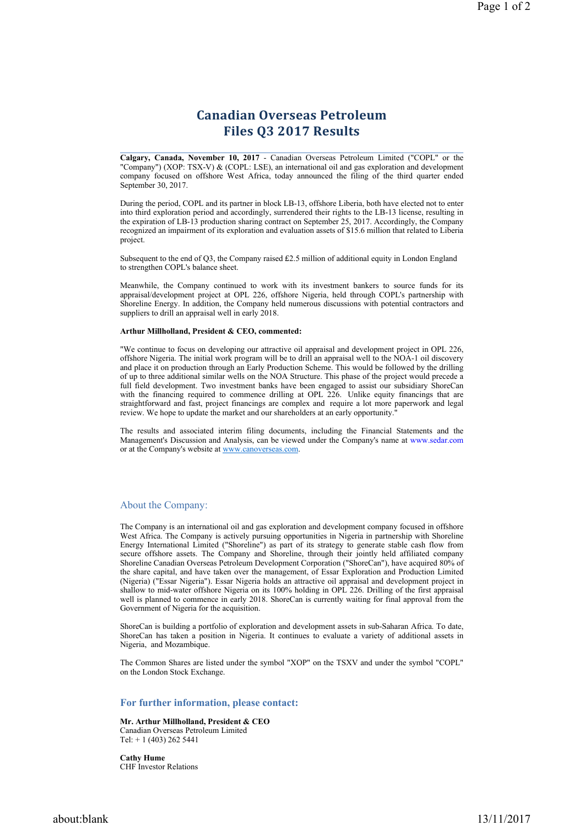# Canadian Overseas Petroleum Files Q3 2017 Results

Calgary, Canada, November 10, 2017 - Canadian Overseas Petroleum Limited ("COPL" or the "Company") (XOP: TSX-V) & (COPL: LSE), an international oil and gas exploration and development company focused on offshore West Africa, today announced the filing of the third quarter ended September 30, 2017.

During the period, COPL and its partner in block LB-13, offshore Liberia, both have elected not to enter into third exploration period and accordingly, surrendered their rights to the LB-13 license, resulting in the expiration of LB-13 production sharing contract on September 25, 2017. Accordingly, the Company recognized an impairment of its exploration and evaluation assets of \$15.6 million that related to Liberia project.

Subsequent to the end of Q3, the Company raised £2.5 million of additional equity in London England to strengthen COPL's balance sheet.

Meanwhile, the Company continued to work with its investment bankers to source funds for its appraisal/development project at OPL 226, offshore Nigeria, held through COPL's partnership with Shoreline Energy. In addition, the Company held numerous discussions with potential contractors and suppliers to drill an appraisal well in early 2018.

#### Arthur Millholland, President & CEO, commented:

"We continue to focus on developing our attractive oil appraisal and development project in OPL 226, offshore Nigeria. The initial work program will be to drill an appraisal well to the NOA-1 oil discovery and place it on production through an Early Production Scheme. This would be followed by the drilling of up to three additional similar wells on the NOA Structure. This phase of the project would precede a full field development. Two investment banks have been engaged to assist our subsidiary ShoreCan with the financing required to commence drilling at OPL 226. Unlike equity financings that are straightforward and fast, project financings are complex and require a lot more paperwork and legal review. We hope to update the market and our shareholders at an early opportunity.

The results and associated interim filing documents, including the Financial Statements and the Management's Discussion and Analysis, can be viewed under the Company's name at www.sedar.com or at the Company's website at www.canoverseas.com.

## About the Company:

The Company is an international oil and gas exploration and development company focused in offshore West Africa. The Company is actively pursuing opportunities in Nigeria in partnership with Shoreline Energy International Limited ("Shoreline") as part of its strategy to generate stable cash flow from secure offshore assets. The Company and Shoreline, through their jointly held affiliated company Shoreline Canadian Overseas Petroleum Development Corporation ("ShoreCan"), have acquired 80% of the share capital, and have taken over the management, of Essar Exploration and Production Limited (Nigeria) ("Essar Nigeria"). Essar Nigeria holds an attractive oil appraisal and development project in shallow to mid-water offshore Nigeria on its 100% holding in OPL 226. Drilling of the first appraisal well is planned to commence in early 2018. ShoreCan is currently waiting for final approval from the Government of Nigeria for the acquisition.

ShoreCan is building a portfolio of exploration and development assets in sub-Saharan Africa. To date, ShoreCan has taken a position in Nigeria. It continues to evaluate a variety of additional assets in Nigeria, and Mozambique.

The Common Shares are listed under the symbol "XOP" on the TSXV and under the symbol "COPL" on the London Stock Exchange.

## For further information, please contact:

Mr. Arthur Millholland, President & CEO Canadian Overseas Petroleum Limited Tel: + 1 (403) 262 5441

Cathy Hume CHF Investor Relations

about:blank 13/11/2017